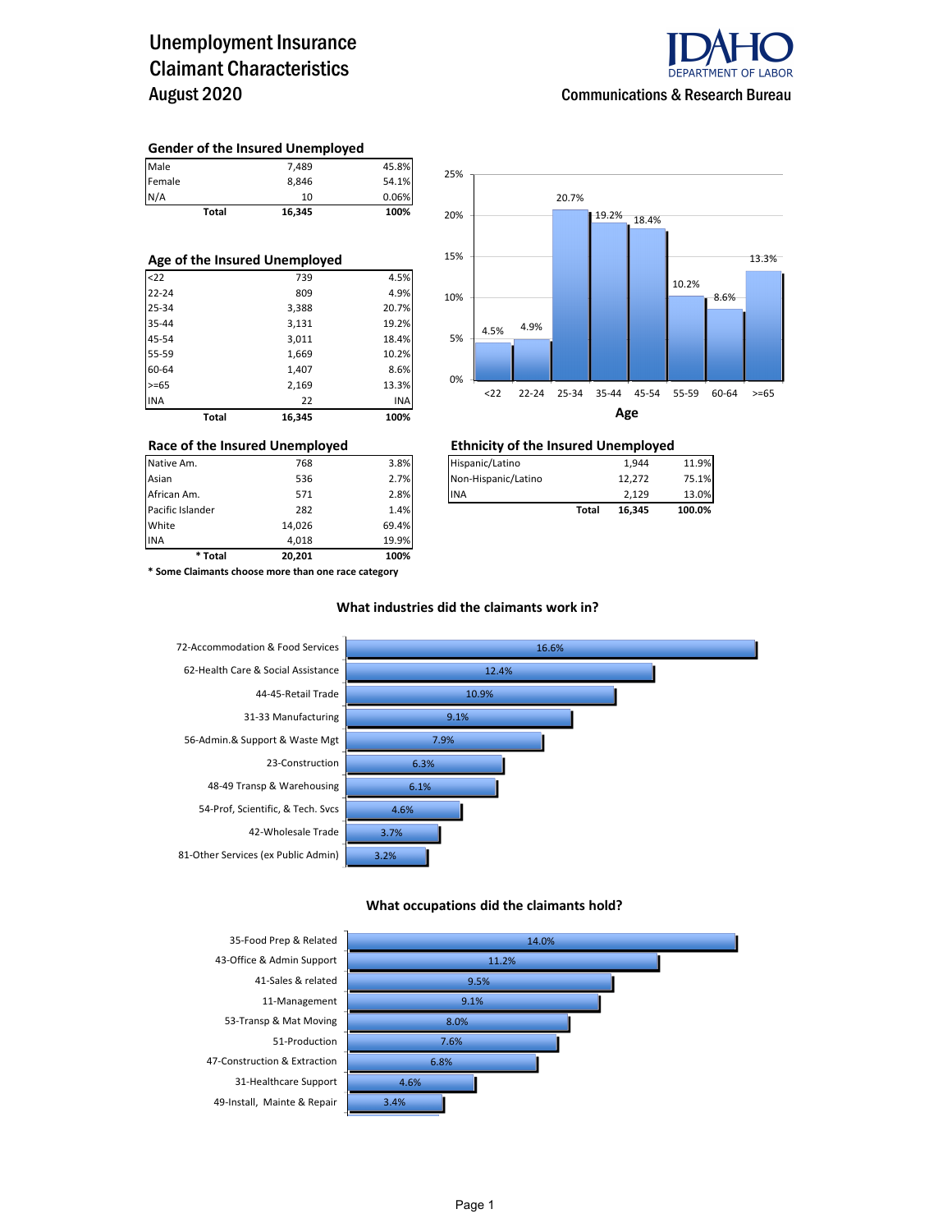### Unemployment Insurance Claimant Characteristics August 2020



#### **Gender of the Insured Unemployed**

|               | Total | 16,345 | 100%  |
|---------------|-------|--------|-------|
|               |       | 10     | 0.06% |
| Female<br>N/A |       | 8.846  | 54.1% |
| Male          |       | 7,489  | 45.8% |

| Age of the Insured Unemployed |       |        |       |  |  |  |  |  |
|-------------------------------|-------|--------|-------|--|--|--|--|--|
| < 22                          |       | 739    | 4.5%  |  |  |  |  |  |
| $22 - 24$                     |       | 809    | 4.9%  |  |  |  |  |  |
| 25-34                         |       | 3,388  | 20.7% |  |  |  |  |  |
| 35-44                         |       | 3,131  | 19.2% |  |  |  |  |  |
| 45-54                         |       | 3,011  | 18.4% |  |  |  |  |  |
| 55-59                         |       | 1,669  | 10.2% |  |  |  |  |  |
| 60-64                         |       | 1,407  | 8.6%  |  |  |  |  |  |
| $>= 65$                       |       | 2,169  | 13.3% |  |  |  |  |  |
| <b>INA</b>                    |       | 22     | INA   |  |  |  |  |  |
|                               | Total | 16.345 | 100%  |  |  |  |  |  |



#### **Race of the Insured Unemployed Ethnicity of the Insured Unemployed**

| Native Am.       | 768    | 3.8%  | Hispanic/Latino     |       | 1.944  | 11.9%  |
|------------------|--------|-------|---------------------|-------|--------|--------|
| Asian            | 536    | 2.7%  | Non-Hispanic/Latino |       | 12.272 | 75.1%  |
| African Am.      | 571    | 2.8%  | <b>IINA</b>         |       | 2.129  | 13.0%  |
| Pacific Islander | 282    | 1.4%  |                     | Total | 16.345 | 100.0% |
| White            | 14.026 | 69.4% |                     |       |        |        |

**\* Some Claimants choose more than one race category**

INA 4,018 19.9% **\* Total 20,201 100%**

#### **What industries did the claimants work in?**



#### **What occupations did the claimants hold?**

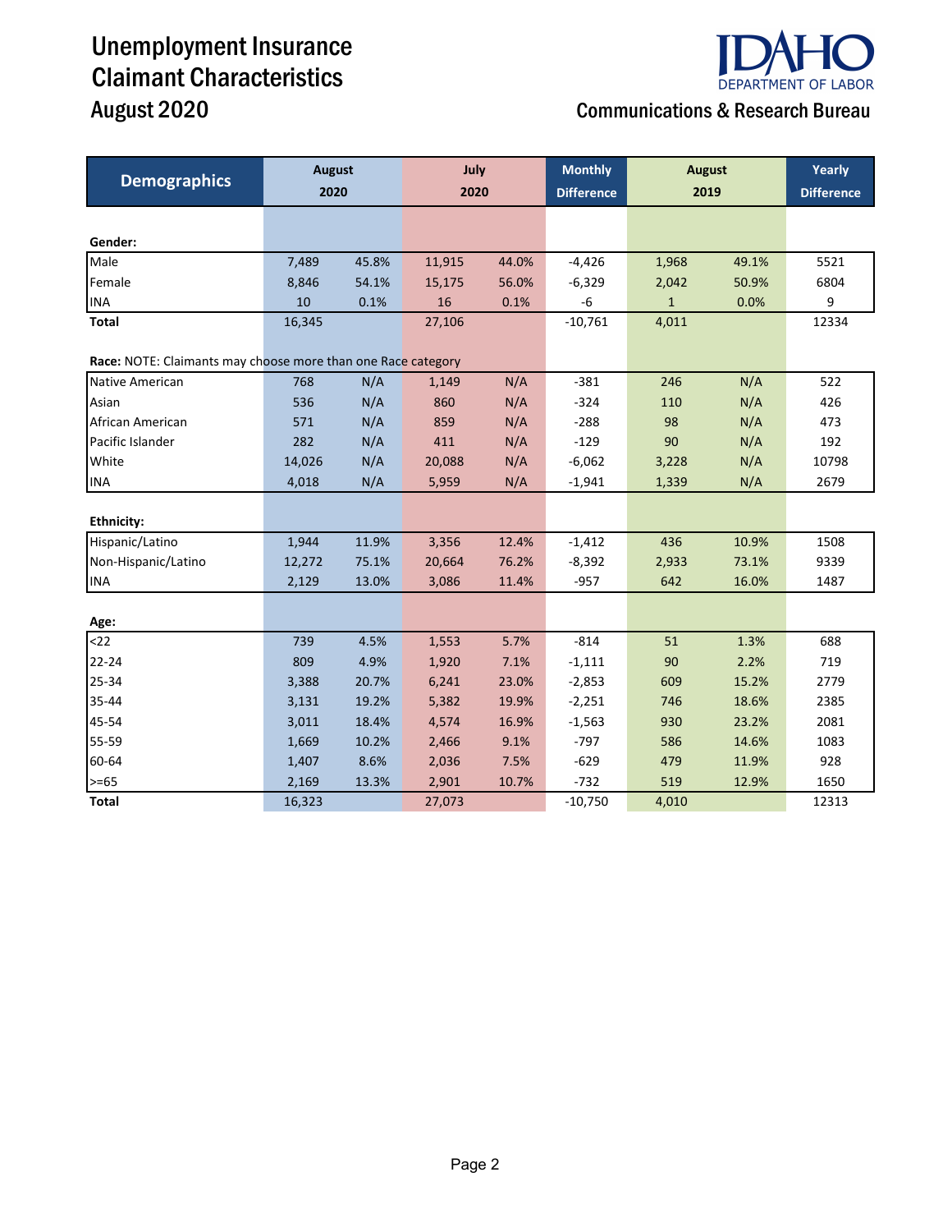# Unemployment Insurance Claimant Characteristics



## August 2020 **August 2020** Communications & Research Bureau

| <b>Demographics</b>                                          | <b>August</b> |       | July<br>2020   |       | <b>Monthly</b>    | <b>August</b><br>2019 |       | Yearly            |
|--------------------------------------------------------------|---------------|-------|----------------|-------|-------------------|-----------------------|-------|-------------------|
|                                                              | 2020          |       |                |       | <b>Difference</b> |                       |       | <b>Difference</b> |
|                                                              |               |       |                |       |                   |                       |       |                   |
| Gender:                                                      |               |       |                |       |                   |                       |       |                   |
| Male                                                         | 7,489         | 45.8% | 11,915         | 44.0% | $-4,426$          | 1,968                 | 49.1% | 5521              |
| Female                                                       | 8,846         | 54.1% | 15,175         | 56.0% | $-6,329$          | 2,042                 | 50.9% | 6804              |
| <b>INA</b>                                                   | 10            | 0.1%  | 16             | 0.1%  | $-6$              | $\mathbf{1}$          | 0.0%  | 9                 |
| Total                                                        | 16,345        |       | 27,106         |       | $-10,761$         | 4,011                 |       | 12334             |
| Race: NOTE: Claimants may choose more than one Race category |               |       |                |       |                   |                       |       |                   |
| Native American                                              | 768           | N/A   | 1,149          | N/A   | $-381$            | 246                   | N/A   | 522               |
| Asian                                                        | 536           | N/A   | 860            | N/A   | $-324$            | 110                   | N/A   | 426               |
| African American                                             | 571           | N/A   | 859            | N/A   | $-288$            | 98                    | N/A   | 473               |
| Pacific Islander                                             | 282           | N/A   | 411            | N/A   | $-129$            | 90                    | N/A   | 192               |
| White                                                        | 14,026        | N/A   | 20,088         | N/A   | $-6,062$          | 3,228                 | N/A   | 10798             |
| <b>INA</b>                                                   | 4,018         | N/A   | 5,959          | N/A   | $-1,941$          | 1,339                 | N/A   | 2679              |
|                                                              |               |       |                |       |                   |                       |       |                   |
| <b>Ethnicity:</b>                                            |               |       |                |       |                   |                       |       |                   |
| Hispanic/Latino                                              | 1,944         | 11.9% | 3,356          | 12.4% | $-1,412$          | 436                   | 10.9% | 1508              |
| Non-Hispanic/Latino                                          | 12,272        | 75.1% | 20,664         | 76.2% | $-8,392$          | 2,933                 | 73.1% | 9339              |
| <b>INA</b>                                                   | 2,129         | 13.0% | 3,086          | 11.4% | $-957$            | 642                   | 16.0% | 1487              |
|                                                              |               |       |                |       |                   |                       |       |                   |
| Age:                                                         |               |       |                |       |                   |                       |       |                   |
| $22$                                                         | 739           | 4.5%  | 1,553          | 5.7%  | $-814$            | 51                    | 1.3%  | 688               |
| 22-24                                                        | 809           | 4.9%  | 1,920          | 7.1%  | $-1,111$          | 90                    | 2.2%  | 719               |
| 25-34                                                        | 3,388         | 20.7% | 6,241<br>23.0% |       | $-2,853$          | 609                   | 15.2% | 2779              |
| 35-44                                                        | 3,131         | 19.2% | 5,382          | 19.9% | $-2,251$          | 746                   | 18.6% | 2385              |
| 45-54                                                        | 3,011         | 18.4% | 4,574          | 16.9% | $-1,563$          | 930                   | 23.2% | 2081              |
| 55-59                                                        | 1,669         | 10.2% | 2,466          | 9.1%  | $-797$            | 586                   | 14.6% | 1083              |
| 60-64                                                        | 1,407         | 8.6%  | 2,036          | 7.5%  | $-629$            | 479                   | 11.9% | 928               |
| $>= 65$                                                      | 2,169         | 13.3% | 2,901          | 10.7% | $-732$            | 519                   | 12.9% | 1650              |
| <b>Total</b>                                                 | 16,323        |       | 27,073         |       | $-10,750$         | 4,010                 |       | 12313             |